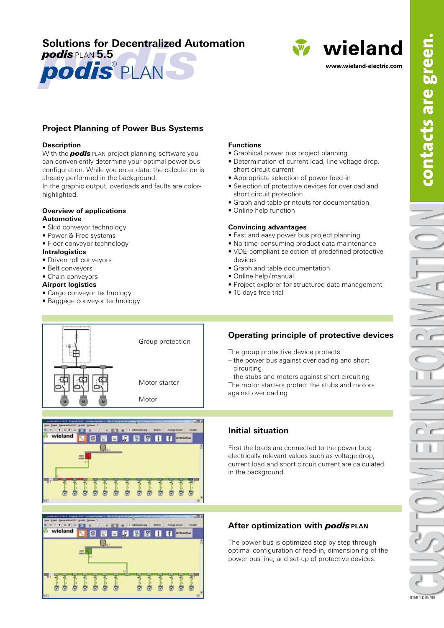# **Solutions for Decentralized Automation**





www.wieland-electric.com

# **Project Planning of Power Bus Systems**

## **Description**

With the **podis** PLAN project planning software you can conveniently determine your optimal power bus configuration. While you enter data, the calculation is already performed in the background.

In the graphic output, overloads and faults are colorhighlighted.

#### **Overview of applications Automotive**

- Skid conveyor technology
- Power & Free systems
- Floor conveyor technology

## **Intralogistics**

- Driven roll conveyors
- Belt conveyors
- Chain conveyors
- **Airport logistics**
- Cargo conveyor technology

# • Baggage conveyor technology

# **Functions**

- Graphical power bus project planning
- Determination of current load, line voltage drop, short circuit current
- Appropriate selection of power feed-in
- Selection of protective devices for overload and short circuit protection
- Graph and table printouts for documentation
- Online help function

## **Convincing advantages**

- Fast and easy power bus project planning
- No time-consuming product data maintenance • VDE-compliant selection of predefined protective
- devices
- Graph and table documentation
- Online help / manual
- Project explorer for structured data management
- 15 days free trial



# wieland 吉贝 固 图 日 日 E 繱



# **Operating principle of protective devices**

The group protective device protects

- the power bus against overloading and short circuiting
- the stubs and motors against short circuiting The motor starters protect the stubs and motors against overloading

# **Initial situation**

First the loads are connected to the power bus; electrically relevant values such as voltage drop, current load and short circuit current are calculated in the background.

# **After optimization with** *podis* **PLAN**

The power bus is optimized step by step through optimal configuration of feed-in, dimensioning of the power bus line, and set-up of protective devices.